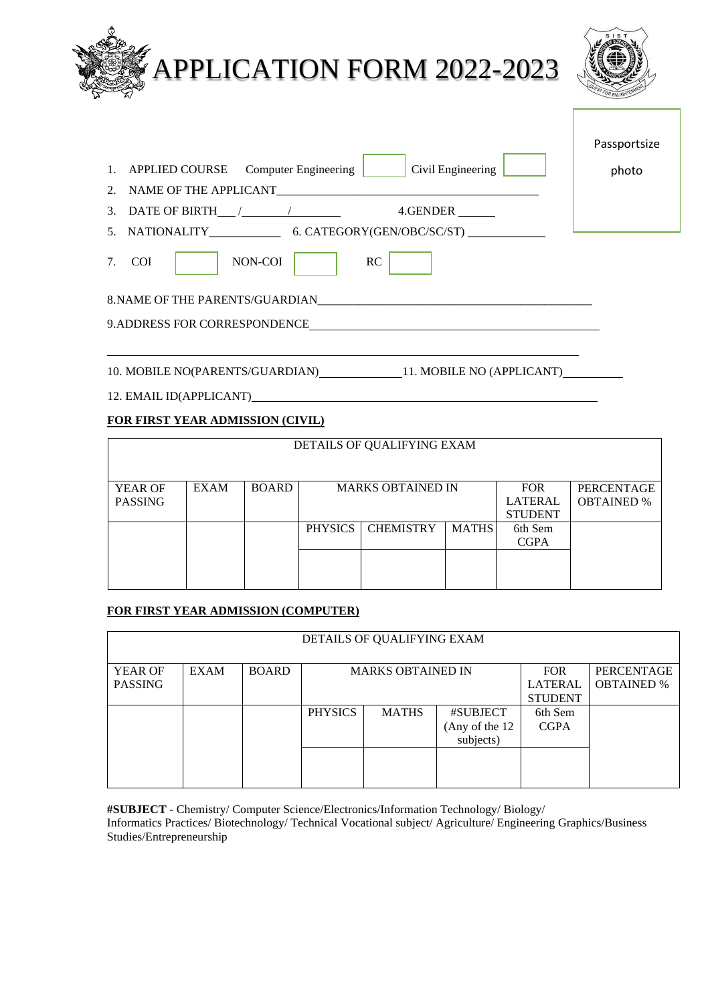| <b>APPLICATION FORM 2022-2023</b>                                                                                                                                                                                                                                                   |                       |
|-------------------------------------------------------------------------------------------------------------------------------------------------------------------------------------------------------------------------------------------------------------------------------------|-----------------------|
| 1. APPLIED COURSE Computer Engineering   Civil Engineering  <br>3. DATE OF BIRTH $\frac{1}{2}$ / $\frac{1}{2}$ 4. GENDER $\frac{1}{2}$<br>NON-COI<br>7. COI<br>RC<br>8. NAME OF THE PARENTS/GUARDIAN PRODUCED AND A SERIES AND THE PARENTS/GUARDIAN<br>9.ADDRESS FOR CORRESPONDENCE | Passportsize<br>photo |
| 10. MOBILE NO(PARENTS/GUARDIAN) 11. MOBILE NO (APPLICANT)<br>12. EMAIL ID(APPLICANT)                                                                                                                                                                                                |                       |

### **FOR FIRST YEAR ADMISSION (CIVIL)**

| DETAILS OF QUALIFYING EXAM |             |              |                |                          |                                                |                                        |  |  |
|----------------------------|-------------|--------------|----------------|--------------------------|------------------------------------------------|----------------------------------------|--|--|
| YEAR OF<br><b>PASSING</b>  | <b>EXAM</b> | <b>BOARD</b> |                | <b>MARKS OBTAINED IN</b> | <b>FOR</b><br><b>LATERAL</b><br><b>STUDENT</b> | <b>PERCENTAGE</b><br><b>OBTAINED %</b> |  |  |
|                            |             |              | <b>PHYSICS</b> | <b>CHEMISTRY</b>         | <b>MATHS</b>                                   | 6th Sem<br><b>CGPA</b>                 |  |  |
|                            |             |              |                |                          |                                                |                                        |  |  |

### **FOR FIRST YEAR ADMISSION (COMPUTER)**

| DETAILS OF QUALIFYING EXAM |             |              |                          |              |                 |                   |  |  |  |
|----------------------------|-------------|--------------|--------------------------|--------------|-----------------|-------------------|--|--|--|
| <b>YEAR OF</b>             | <b>EXAM</b> | <b>BOARD</b> | <b>MARKS OBTAINED IN</b> | PERCENTAGE   |                 |                   |  |  |  |
| <b>PASSING</b>             |             |              |                          |              | <b>LATERAL</b>  | <b>OBTAINED</b> % |  |  |  |
|                            |             |              |                          |              | <b>STUDENT</b>  |                   |  |  |  |
|                            |             |              | <b>PHYSICS</b>           | <b>MATHS</b> | #SUBJECT        | 6th Sem           |  |  |  |
|                            |             |              |                          |              | (Any of the 12) | <b>CGPA</b>       |  |  |  |
|                            |             |              |                          |              | subjects)       |                   |  |  |  |
|                            |             |              |                          |              |                 |                   |  |  |  |
|                            |             |              |                          |              |                 |                   |  |  |  |
|                            |             |              |                          |              |                 |                   |  |  |  |

**#SUBJECT** - Chemistry/ Computer Science/Electronics/Information Technology/ Biology/

Informatics Practices/ Biotechnology/ Technical Vocational subject/ Agriculture/ Engineering Graphics/Business Studies/Entrepreneurship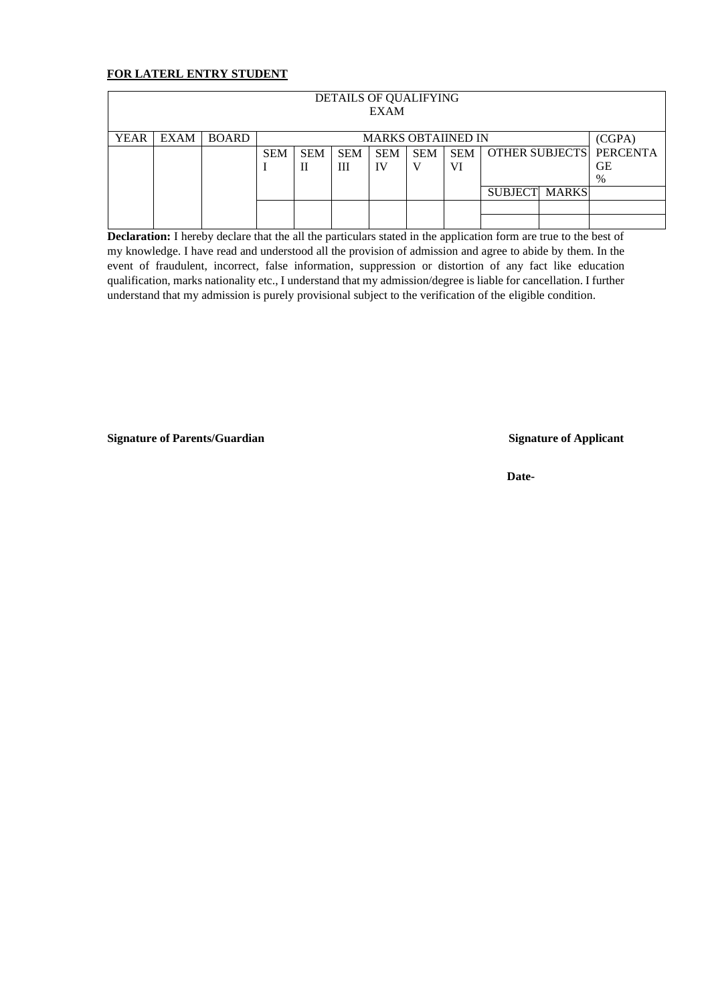#### **FOR LATERL ENTRY STUDENT**

| DETAILS OF QUALIFYING<br><b>EXAM</b> |                                                   |  |            |            |            |            |            |            |                      |        |                         |
|--------------------------------------|---------------------------------------------------|--|------------|------------|------------|------------|------------|------------|----------------------|--------|-------------------------|
| <b>YEAR</b>                          | <b>BOARD</b><br>EXAM<br><b>MARKS OBTAIINED IN</b> |  |            |            |            |            |            |            |                      | (CGPA) |                         |
|                                      |                                                   |  | <b>SEM</b> | <b>SEM</b> | <b>SEM</b> | <b>SEM</b> | <b>SEM</b> | <b>SEM</b> |                      |        | OTHER SUBJECTS PERCENTA |
|                                      |                                                   |  |            | П          | Ш          | IV         |            | VI         |                      |        | GЕ                      |
|                                      |                                                   |  |            |            |            |            |            |            |                      |        | $\%$                    |
|                                      |                                                   |  |            |            |            |            |            |            | <b>SUBJECT MARKS</b> |        |                         |
|                                      |                                                   |  |            |            |            |            |            |            |                      |        |                         |
|                                      |                                                   |  |            |            |            |            |            |            |                      |        |                         |

**Declaration:** I hereby declare that the all the particulars stated in the application form are true to the best of my knowledge. I have read and understood all the provision of admission and agree to abide by them. In the event of fraudulent, incorrect, false information, suppression or distortion of any fact like education qualification, marks nationality etc., I understand that my admission/degree is liable for cancellation. I further understand that my admission is purely provisional subject to the verification of the eligible condition.

**Signature of Parents/Guardian Signature of Applicant**

**Date-**